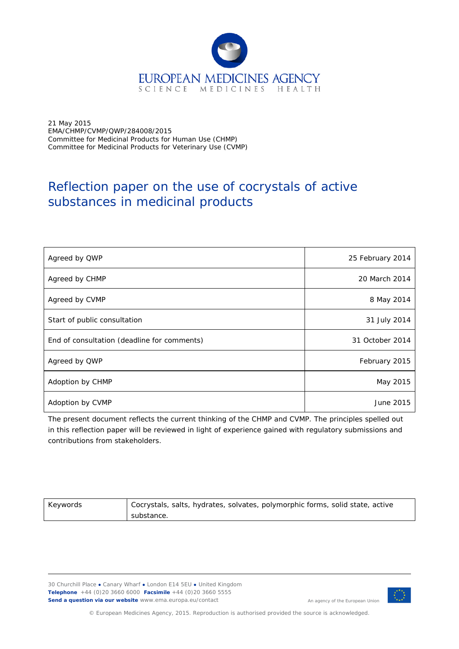

21 May 2015 EMA/CHMP/CVMP/QWP/284008/2015 Committee for Medicinal Products for Human Use (CHMP) Committee for Medicinal Products for Veterinary Use (CVMP)

# Reflection paper on the use of cocrystals of active substances in medicinal products

| Agreed by QWP                               | 25 February 2014 |
|---------------------------------------------|------------------|
| Agreed by CHMP                              | 20 March 2014    |
| Agreed by CVMP                              | 8 May 2014       |
| Start of public consultation                | 31 July 2014     |
| End of consultation (deadline for comments) | 31 October 2014  |
| Agreed by QWP                               | February 2015    |
| Adoption by CHMP                            | May 2015         |
| Adoption by CVMP                            | June 2015        |

The present document reflects the current thinking of the CHMP and CVMP. The principles spelled out in this reflection paper will be reviewed in light of experience gained with regulatory submissions and contributions from stakeholders.

| Keywords | Cocrystals, salts, hydrates, solvates, polymorphic forms, solid state, active |
|----------|-------------------------------------------------------------------------------|
|          | substance.                                                                    |

30 Churchill Place **●** Canary Wharf **●** London E14 5EU **●** United Kingdom **Telephone** +44 (0)20 3660 6000 **Facsimile** +44 (0)20 3660 5555 **Send a question via our website** www.ema.europa.eu/contact



An agency of the European Union

© European Medicines Agency, 2015. Reproduction is authorised provided the source is acknowledged.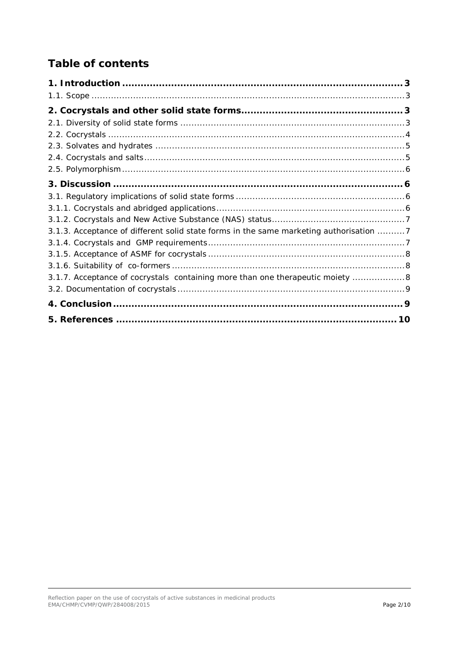# **Table of contents**

| 3.1.3. Acceptance of different solid state forms in the same marketing authorisation 7 |  |
|----------------------------------------------------------------------------------------|--|
|                                                                                        |  |
|                                                                                        |  |
|                                                                                        |  |
| 3.1.7. Acceptance of cocrystals containing more than one therapeutic moiety 8          |  |
|                                                                                        |  |
|                                                                                        |  |
| 5. References ………………………………………………………………………………… 10                                       |  |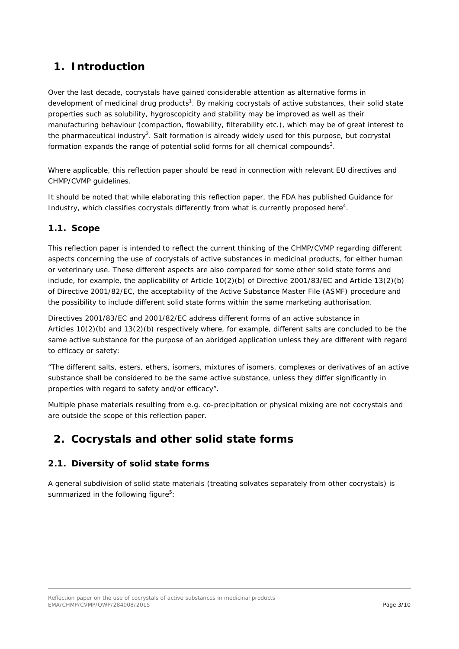## <span id="page-2-0"></span>**1. Introduction**

Over the last decade, cocrystals have gained considerable attention as alternative forms in development of medicinal drug products<sup>1</sup>. By making cocrystals of active substances, their solid state properties such as solubility, hygroscopicity and stability may be improved as well as their manufacturing behaviour (compaction, flowability, filterability etc.), which may be of great interest to the pharmaceutical industry<sup>2</sup>. Salt formation is already widely used for this purpose, but cocrystal formation expands the range of potential solid forms for all chemical compounds<sup>3</sup>.

Where applicable, this reflection paper should be read in connection with relevant EU directives and CHMP/CVMP guidelines.

It should be noted that while elaborating this reflection paper, the FDA has published Guidance for Industry, which classifies cocrystals differently from what is currently proposed here $4$ .

#### <span id="page-2-1"></span>*1.1. Scope*

This reflection paper is intended to reflect the current thinking of the CHMP/CVMP regarding different aspects concerning the use of cocrystals of active substances in medicinal products, for either human or veterinary use. These different aspects are also compared for some other solid state forms and include, for example, the applicability of Article 10(2)(b) of Directive 2001/83/EC and Article 13(2)(b) of Directive 2001/82/EC, the acceptability of the Active Substance Master File (ASMF) procedure and the possibility to include different solid state forms within the same marketing authorisation.

Directives 2001/83/EC and 2001/82/EC address different forms of an active substance in Articles 10(2)(b) and 13(2)(b) respectively where, for example, different salts are concluded to be the same active substance for the purpose of an abridged application unless they are different with regard to efficacy or safety:

*"The different salts, esters, ethers, isomers, mixtures of isomers, complexes or derivatives of an active substance shall be considered to be the same active substance, unless they differ significantly in properties with regard to safety and/or efficacy".*

Multiple phase materials resulting from e.g. co-precipitation or physical mixing are not cocrystals and are outside the scope of this reflection paper.

## <span id="page-2-2"></span>**2. Cocrystals and other solid state forms**

#### <span id="page-2-3"></span>*2.1. Diversity of solid state forms*

A general subdivision of solid state materials (treating solvates separately from other cocrystals) is summarized in the following figure<sup>5</sup>: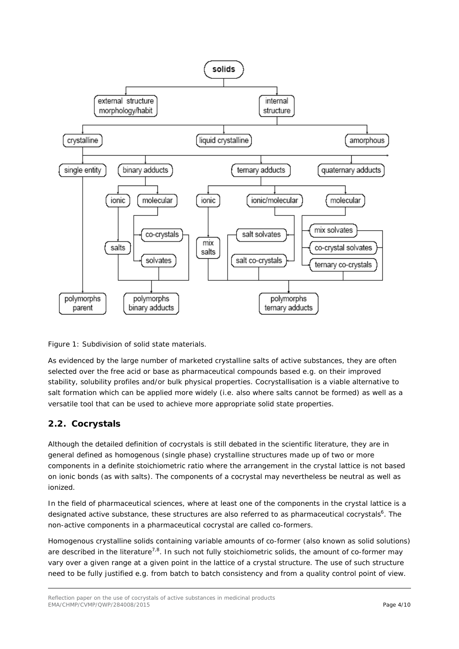



As evidenced by the large number of marketed crystalline salts of active substances, they are often selected over the free acid or base as pharmaceutical compounds based e.g. on their improved stability, solubility profiles and/or bulk physical properties. Cocrystallisation is a viable alternative to salt formation which can be applied more widely (i.e. also where salts cannot be formed) as well as a versatile tool that can be used to achieve more appropriate solid state properties.

### <span id="page-3-0"></span>*2.2. Cocrystals*

Although the detailed definition of cocrystals is still debated in the scientific literature, they are in general defined as homogenous (single phase) crystalline structures made up of two or more components in a definite stoichiometric ratio where the arrangement in the crystal lattice is not based on ionic bonds (as with salts). The components of a cocrystal may nevertheless be neutral as well as ionized.

In the field of pharmaceutical sciences, where at least one of the components in the crystal lattice is a designated active substance, these structures are also referred to as pharmaceutical cocrystals<sup>6</sup>. The non-active components in a pharmaceutical cocrystal are called co-formers.

Homogenous crystalline solids containing variable amounts of co-former (also known as solid solutions) are described in the literature<sup>7,8</sup>. In such not fully stoichiometric solids, the amount of co-former may vary over a given range at a given point in the lattice of a crystal structure. The use of such structure need to be fully justified e.g. from batch to batch consistency and from a quality control point of view.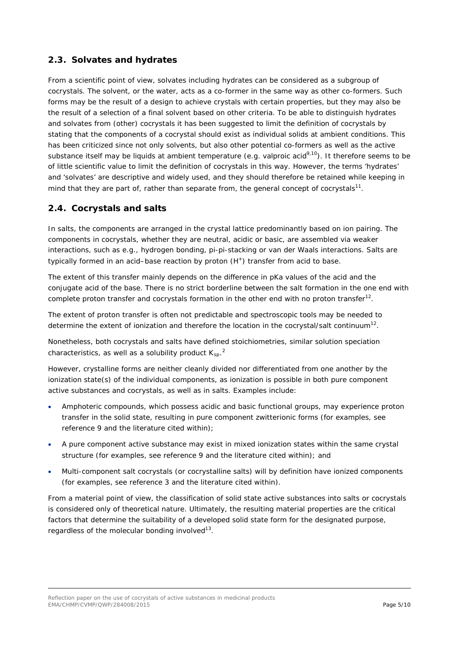#### <span id="page-4-0"></span>*2.3. Solvates and hydrates*

From a scientific point of view, solvates including hydrates can be considered as a subgroup of cocrystals. The solvent, or the water, acts as a co-former in the same way as other co-formers. Such forms may be the result of a design to achieve crystals with certain properties, but they may also be the result of a selection of a final solvent based on other criteria. To be able to distinguish hydrates and solvates from (other) cocrystals it has been suggested to limit the definition of cocrystals by stating that the components of a cocrystal should exist as individual solids at ambient conditions. This has been criticized since not only solvents, but also other potential co-formers as well as the active substance itself may be liquids at ambient temperature (e.g. valproic acid<sup>9,10</sup>). It therefore seems to be of little scientific value to limit the definition of cocrystals in this way. However, the terms 'hydrates' and 'solvates' are descriptive and widely used, and they should therefore be retained while keeping in mind that they are part of, rather than separate from, the general concept of cocrystals $^{11}$ .

#### <span id="page-4-1"></span>*2.4. Cocrystals and salts*

In salts, the components are arranged in the crystal lattice predominantly based on ion pairing. The components in cocrystals, whether they are neutral, acidic or basic, are assembled via weaker interactions, such as e.g., hydrogen bonding, pi-pi-stacking or van der Waals interactions. Salts are typically formed in an acid–base reaction by proton  $(H^+)$  transfer from acid to base.

The extent of this transfer mainly depends on the difference in pKa values of the acid and the conjugate acid of the base. There is no strict borderline between the salt formation in the one end with complete proton transfer and cocrystals formation in the other end with no proton transfer<sup>12</sup>.

The extent of proton transfer is often not predictable and spectroscopic tools may be needed to determine the extent of ionization and therefore the location in the cocrystal/salt continuum<sup>12</sup>.

Nonetheless, both cocrystals and salts have defined stoichiometries, similar solution speciation characteristics, as well as a solubility product  $\mathsf{K}_{\mathsf{sp}}$ .<sup>2</sup>

However, crystalline forms are neither cleanly divided nor differentiated from one another by the ionization state(s) of the individual components, as ionization is possible in both pure component active substances and cocrystals, as well as in salts. Examples include:

- Amphoteric compounds, which possess acidic and basic functional groups, may experience proton transfer in the solid state, resulting in pure component zwitterionic forms (for examples, see reference 9 and the literature cited within);
- A pure component active substance may exist in mixed ionization states within the same crystal structure (for examples, see reference 9 and the literature cited within); and
- Multi-component salt cocrystals (or cocrystalline salts) will by definition have ionized components (for examples, see reference 3 and the literature cited within).

From a material point of view, the classification of solid state active substances into salts or cocrystals is considered only of theoretical nature. Ultimately, the resulting material properties are the critical factors that determine the suitability of a developed solid state form for the designated purpose, regardless of the molecular bonding involved $13$ .

Reflection paper on the use of cocrystals of active substances in medicinal products EMA/CHMP/CVMP/QWP/284008/2015 Page 5/10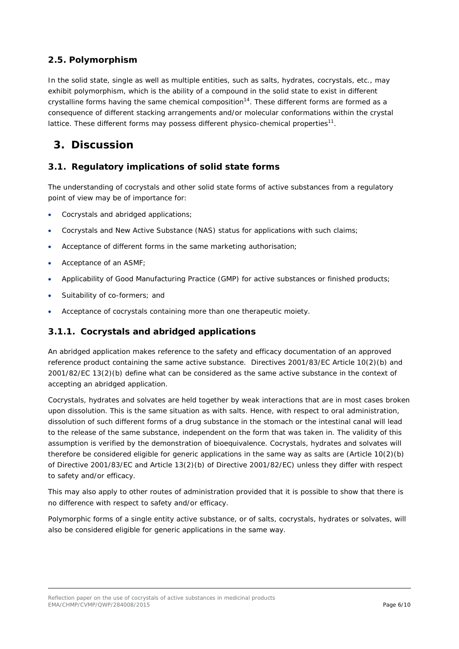### <span id="page-5-0"></span>*2.5. Polymorphism*

In the solid state, single as well as multiple entities, such as salts, hydrates, cocrystals, etc., may exhibit polymorphism, which is the ability of a compound in the solid state to exist in different crystalline forms having the same chemical composition<sup>14</sup>. These different forms are formed as a consequence of different stacking arrangements and/or molecular conformations within the crystal lattice. These different forms may possess different physico-chemical properties<sup>11</sup>.

### <span id="page-5-1"></span>**3. Discussion**

#### <span id="page-5-2"></span>*3.1. Regulatory implications of solid state forms*

The understanding of cocrystals and other solid state forms of active substances from a regulatory point of view may be of importance for:

- Cocrystals and abridged applications;
- Cocrystals and New Active Substance (NAS) status for applications with such claims;
- Acceptance of different forms in the same marketing authorisation;
- Acceptance of an ASMF;
- Applicability of Good Manufacturing Practice (GMP) for active substances or finished products;
- Suitability of co-formers; and
- Acceptance of cocrystals containing more than one therapeutic moiety.

#### <span id="page-5-3"></span>**3.1.1. Cocrystals and abridged applications**

An abridged application makes reference to the safety and efficacy documentation of an approved reference product containing the same active substance. Directives 2001/83/EC Article 10(2)(b) and 2001/82/EC 13(2)(b) define what can be considered as the same active substance in the context of accepting an abridged application.

Cocrystals, hydrates and solvates are held together by weak interactions that are in most cases broken upon dissolution. This is the same situation as with salts. Hence, with respect to oral administration, dissolution of such different forms of a drug substance in the stomach or the intestinal canal will lead to the release of the same substance, independent on the form that was taken in. The validity of this assumption is verified by the demonstration of bioequivalence. Cocrystals, hydrates and solvates will therefore be considered eligible for generic applications in the same way as salts are (Article 10(2)(b) of Directive 2001/83/EC and Article 13(2)(b) of Directive 2001/82/EC) unless they differ with respect to safety and/or efficacy.

This may also apply to other routes of administration provided that it is possible to show that there is no difference with respect to safety and/or efficacy.

Polymorphic forms of a single entity active substance, or of salts, cocrystals, hydrates or solvates, will also be considered eligible for generic applications in the same way.

Reflection paper on the use of cocrystals of active substances in medicinal products EMA/CHMP/CVMP/QWP/284008/2015 Page 6/10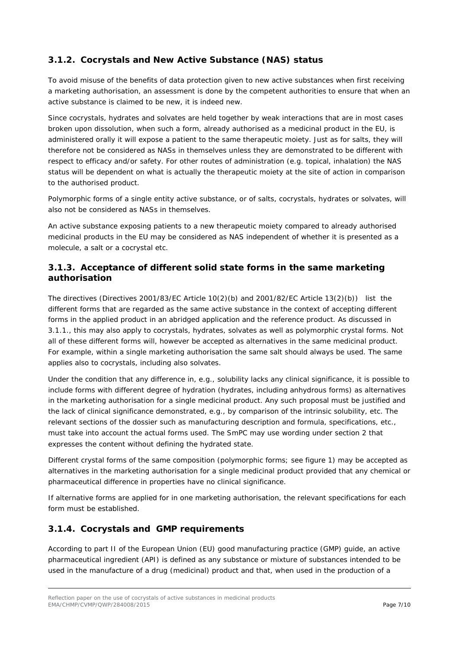### <span id="page-6-0"></span>**3.1.2. Cocrystals and New Active Substance (NAS) status**

To avoid misuse of the benefits of data protection given to new active substances when first receiving a marketing authorisation, an assessment is done by the competent authorities to ensure that when an active substance is claimed to be new, it is indeed new.

Since cocrystals, hydrates and solvates are held together by weak interactions that are in most cases broken upon dissolution, when such a form, already authorised as a medicinal product in the EU, is administered orally it will expose a patient to the same therapeutic moiety. Just as for salts, they will therefore not be considered as NASs in themselves unless they are demonstrated to be different with respect to efficacy and/or safety. For other routes of administration (e.g. topical, inhalation) the NAS status will be dependent on what is actually the therapeutic moiety at the site of action in comparison to the authorised product.

Polymorphic forms of a single entity active substance, or of salts, cocrystals, hydrates or solvates, will also not be considered as NASs in themselves.

An active substance exposing patients to a new therapeutic moiety compared to already authorised medicinal products in the EU may be considered as NAS independent of whether it is presented as a molecule, a salt or a cocrystal etc.

#### <span id="page-6-1"></span>**3.1.3. Acceptance of different solid state forms in the same marketing authorisation**

The directives (Directives 2001/83/EC Article 10(2)(b) and 2001/82/EC Article 13(2)(b)) list the different forms that are regarded as the same active substance in the context of accepting different forms in the applied product in an abridged application and the reference product. As discussed in 3.1.1., this may also apply to cocrystals, hydrates, solvates as well as polymorphic crystal forms. Not all of these different forms will, however be accepted as alternatives in the same medicinal product. For example, within a single marketing authorisation the same salt should always be used. The same applies also to cocrystals, including also solvates.

Under the condition that any difference in, e.g., solubility lacks any clinical significance, it is possible to include forms with different degree of hydration (hydrates, including anhydrous forms) as alternatives in the marketing authorisation for a single medicinal product. Any such proposal must be justified and the lack of clinical significance demonstrated, e.g., by comparison of the intrinsic solubility, etc. The relevant sections of the dossier such as manufacturing description and formula, specifications, etc., must take into account the actual forms used. The SmPC may use wording under section 2 that expresses the content without defining the hydrated state.

Different crystal forms of the same composition (polymorphic forms; see figure 1) may be accepted as alternatives in the marketing authorisation for a single medicinal product provided that any chemical or pharmaceutical difference in properties have no clinical significance.

If alternative forms are applied for in one marketing authorisation, the relevant specifications for each form must be established.

#### <span id="page-6-2"></span>**3.1.4. Cocrystals and GMP requirements**

According to part II of the European Union (EU) good manufacturing practice (GMP) guide, an active pharmaceutical ingredient (API) is defined as any substance or mixture of substances intended to be used in the manufacture of a drug (medicinal) product and that, when used in the production of a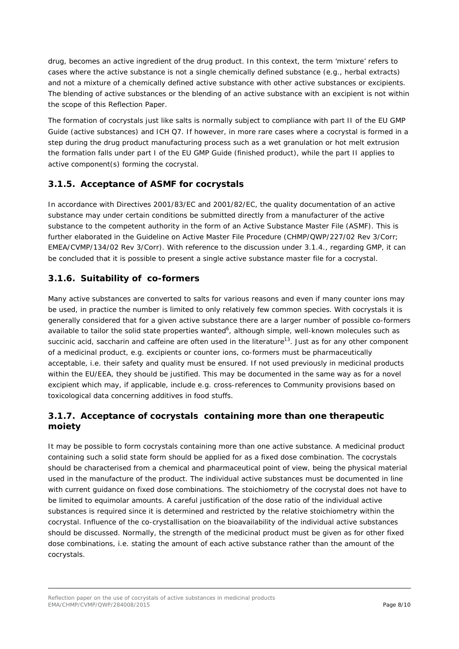drug, becomes an active ingredient of the drug product. In this context, the term 'mixture' refers to cases where the active substance is not a single chemically defined substance (e.g., herbal extracts) and not a mixture of a chemically defined active substance with other active substances or excipients. The blending of active substances or the blending of an active substance with an excipient is not within the scope of this Reflection Paper.

The formation of cocrystals just like salts is normally subject to compliance with part II of the EU GMP Guide (active substances) and ICH Q7. If however, in more rare cases where a cocrystal is formed in a step during the drug product manufacturing process such as a wet granulation or hot melt extrusion the formation falls under part I of the EU GMP Guide (finished product), while the part II applies to active component(s) forming the cocrystal.

#### <span id="page-7-0"></span>**3.1.5. Acceptance of ASMF for cocrystals**

In accordance with Directives 2001/83/EC and 2001/82/EC, the quality documentation of an active substance may under certain conditions be submitted directly from a manufacturer of the active substance to the competent authority in the form of an Active Substance Master File (ASMF). This is further elaborated in the Guideline on Active Master File Procedure (CHMP/QWP/227/02 Rev 3/Corr; EMEA/CVMP/134/02 Rev 3/Corr). With reference to the discussion under 3.1.4., regarding GMP, it can be concluded that it is possible to present a single active substance master file for a cocrystal.

#### <span id="page-7-1"></span>**3.1.6. Suitability of co-formers**

Many active substances are converted to salts for various reasons and even if many counter ions may be used, in practice the number is limited to only relatively few common species. With cocrystals it is generally considered that for a given active substance there are a larger number of possible co-formers available to tailor the solid state properties wanted<sup>6</sup>, although simple, well-known molecules such as succinic acid, saccharin and caffeine are often used in the literature<sup>13</sup>. Just as for any other component of a medicinal product, e.g. excipients or counter ions, co-formers must be pharmaceutically acceptable, i.e. their safety and quality must be ensured. If not used previously in medicinal products within the EU/EEA, they should be justified. This may be documented in the same way as for a novel excipient which may, if applicable, include e.g. cross-references to Community provisions based on toxicological data concerning additives in food stuffs.

#### <span id="page-7-2"></span>**3.1.7. Acceptance of cocrystals containing more than one therapeutic moiety**

It may be possible to form cocrystals containing more than one active substance. A medicinal product containing such a solid state form should be applied for as a fixed dose combination. The cocrystals should be characterised from a chemical and pharmaceutical point of view, being the physical material used in the manufacture of the product. The individual active substances must be documented in line with current guidance on fixed dose combinations. The stoichiometry of the cocrystal does not have to be limited to equimolar amounts. A careful justification of the dose ratio of the individual active substances is required since it is determined and restricted by the relative stoichiometry within the cocrystal. Influence of the co-crystallisation on the bioavailability of the individual active substances should be discussed. Normally, the strength of the medicinal product must be given as for other fixed dose combinations, i.e. stating the amount of each active substance rather than the amount of the cocrystals.

Reflection paper on the use of cocrystals of active substances in medicinal products EMA/CHMP/CVMP/QWP/284008/2015 Page 8/10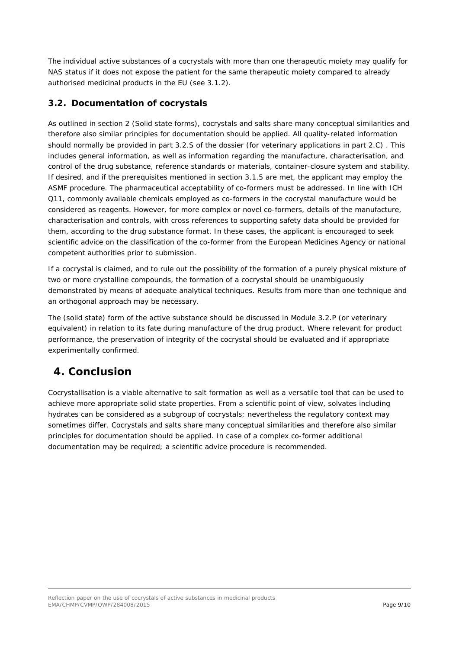The individual active substances of a cocrystals with more than one therapeutic moiety may qualify for NAS status if it does not expose the patient for the same therapeutic moiety compared to already authorised medicinal products in the EU (see 3.1.2).

#### <span id="page-8-0"></span>*3.2. Documentation of cocrystals*

As outlined in section 2 (Solid state forms), cocrystals and salts share many conceptual similarities and therefore also similar principles for documentation should be applied. All quality-related information should normally be provided in part 3.2.S of the dossier (for veterinary applications in part 2.C) . This includes general information, as well as information regarding the manufacture, characterisation, and control of the drug substance, reference standards or materials, container-closure system and stability. If desired, and if the prerequisites mentioned in section 3.1.5 are met, the applicant may employ the ASMF procedure. The pharmaceutical acceptability of co-formers must be addressed. In line with ICH Q11, commonly available chemicals employed as co-formers in the cocrystal manufacture would be considered as reagents. However, for more complex or novel co-formers, details of the manufacture, characterisation and controls, with cross references to supporting safety data should be provided for them, according to the drug substance format. In these cases, the applicant is encouraged to seek scientific advice on the classification of the co-former from the European Medicines Agency or national competent authorities prior to submission.

If a cocrystal is claimed, and to rule out the possibility of the formation of a purely physical mixture of two or more crystalline compounds, the formation of a cocrystal should be unambiguously demonstrated by means of adequate analytical techniques. Results from more than one technique and an orthogonal approach may be necessary.

The (solid state) form of the active substance should be discussed in Module 3.2.P (or veterinary equivalent) in relation to its fate during manufacture of the drug product. Where relevant for product performance, the preservation of integrity of the cocrystal should be evaluated and if appropriate experimentally confirmed.

## <span id="page-8-1"></span>**4. Conclusion**

Cocrystallisation is a viable alternative to salt formation as well as a versatile tool that can be used to achieve more appropriate solid state properties. From a scientific point of view, solvates including hydrates can be considered as a subgroup of cocrystals; nevertheless the regulatory context may sometimes differ. Cocrystals and salts share many conceptual similarities and therefore also similar principles for documentation should be applied. In case of a complex co-former additional documentation may be required; a scientific advice procedure is recommended.